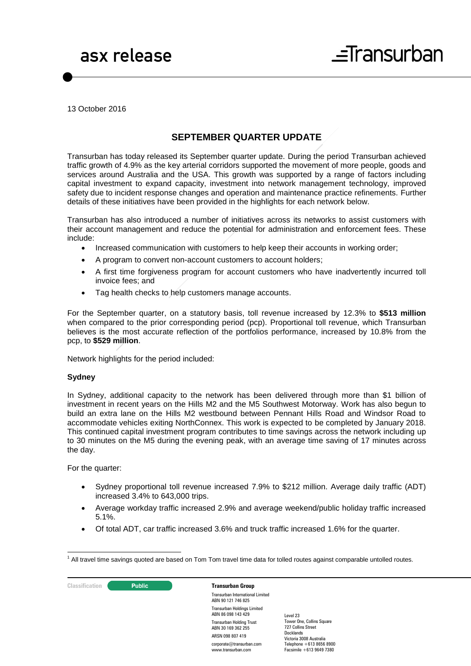13 October 2016

# **SEPTEMBER QUARTER UPDATE**

Transurban has today released its September quarter update. During the period Transurban achieved traffic growth of 4.9% as the key arterial corridors supported the movement of more people, goods and services around Australia and the USA. This growth was supported by a range of factors including capital investment to expand capacity, investment into network management technology, improved safety due to incident response changes and operation and maintenance practice refinements. Further details of these initiatives have been provided in the highlights for each network below.

Transurban has also introduced a number of initiatives across its networks to assist customers with their account management and reduce the potential for administration and enforcement fees. These include:

- Increased communication with customers to help keep their accounts in working order;
- A program to convert non-account customers to account holders;
- A first time forgiveness program for account customers who have inadvertently incurred toll invoice fees; and
- Tag health checks to help customers manage accounts.

For the September quarter, on a statutory basis, toll revenue increased by 12.3% to **\$513 million**  when compared to the prior corresponding period (pcp). Proportional toll revenue, which Transurban believes is the most accurate reflection of the portfolios performance, increased by 10.8% from the pcp, to **\$529 million**.

Network highlights for the period included:

### **Sydney**

In Sydney, additional capacity to the network has been delivered through more than \$1 billion of investment in recent years on the Hills M2 and the M5 Southwest Motorway. Work has also begun to build an extra lane on the Hills M2 westbound between Pennant Hills Road and Windsor Road to accommodate vehicles exiting NorthConnex. This work is expected to be completed by January 2018. This continued capital investment program contributes to time savings across the network including up to 30 minutes on the M5 during the evening peak, with an average time saving of 17 minutes across the day.

For the quarter:

- Sydney proportional toll revenue increased 7.9% to \$212 million. Average daily traffic (ADT) increased 3.4% to 643,000 trips.
- Average workday traffic increased 2.9% and average weekend/public holiday traffic increased 5.1%.
- Of total ADT, car traffic increased 3.6% and truck traffic increased 1.6% for the quarter.

**Classification C Public Transurban Group** 

Transurban International Limited ABN 90 121 746 825 Transurban Holdings Limited ABN 86 098 143 429 Transurban Holding Trust ABN 30 169 362 255 ARSN 098 807 419 corporate@transurban.com www.transurban.com

<sup>&</sup>lt;u>.</u>  $<sup>1</sup>$  All travel time savings quoted are based on Tom Tom travel time data for tolled routes against comparable untolled routes.</sup>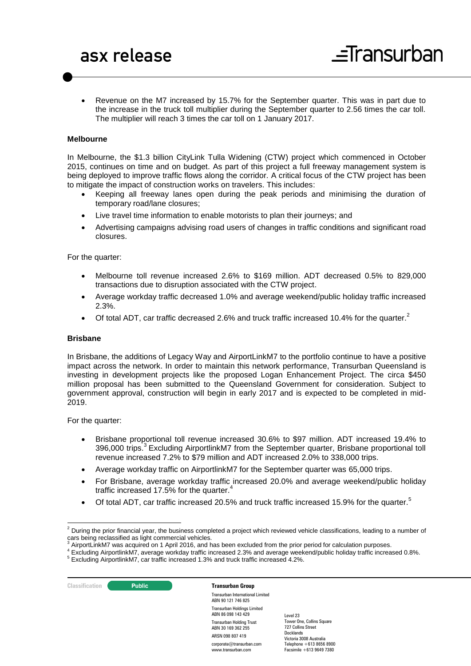Revenue on the M7 increased by 15.7% for the September quarter. This was in part due to the increase in the truck toll multiplier during the September quarter to 2.56 times the car toll. The multiplier will reach 3 times the car toll on 1 January 2017.

### **Melbourne**

In Melbourne, the \$1.3 billion CityLink Tulla Widening (CTW) project which commenced in October 2015, continues on time and on budget. As part of this project a full freeway management system is being deployed to improve traffic flows along the corridor. A critical focus of the CTW project has been to mitigate the impact of construction works on travelers. This includes:

- Keeping all freeway lanes open during the peak periods and minimising the duration of temporary road/lane closures;
- Live travel time information to enable motorists to plan their journeys; and
- Advertising campaigns advising road users of changes in traffic conditions and significant road closures.

For the quarter:

- Melbourne toll revenue increased 2.6% to \$169 million. ADT decreased 0.5% to 829,000 transactions due to disruption associated with the CTW project.
- Average workday traffic decreased 1.0% and average weekend/public holiday traffic increased 2.3%.
- Of total ADT, car traffic decreased 2.6% and truck traffic increased 10.4% for the quarter.<sup>2</sup>

### **Brisbane**

In Brisbane, the additions of Legacy Way and AirportLinkM7 to the portfolio continue to have a positive impact across the network. In order to maintain this network performance, Transurban Queensland is investing in development projects like the proposed Logan Enhancement Project. The circa \$450 million proposal has been submitted to the Queensland Government for consideration. Subject to government approval, construction will begin in early 2017 and is expected to be completed in mid-2019.

For the quarter:

- Brisbane proportional toll revenue increased 30.6% to \$97 million. ADT increased 19.4% to 396,000 trips.<sup>3</sup> Excluding AirportlinkM7 from the September quarter, Brisbane proportional toll revenue increased 7.2% to \$79 million and ADT increased 2.0% to 338,000 trips.
- Average workday traffic on AirportlinkM7 for the September quarter was 65,000 trips.
- For Brisbane, average workday traffic increased 20.0% and average weekend/public holiday traffic increased 17.5% for the quarter. $4$
- $\bullet$  Of total ADT, car traffic increased 20.5% and truck traffic increased 15.9% for the quarter.<sup>5</sup>

<sup>4</sup> Excluding AirportlinkM7, average workday traffic increased 2.3% and average weekend/public holiday traffic increased 0.8%.

**Classification C Public Transurban Group** 

Transurban International Limited ABN 90 121 746 825 Transurban Holdings Limited ABN 86 098 143 429 Transurban Holding Trust ABN 30 169 362 255 ARSN 098 807 419 corporate@transurban.com www.transurban.com

<sup>-</sup> $2$  During the prior financial year, the business completed a project which reviewed vehicle classifications, leading to a number of cars being reclassified as light commercial vehicles.

AirportLinkM7 was acquired on 1 April 2016, and has been excluded from the prior period for calculation purposes.

<sup>5</sup> Excluding AirportlinkM7, car traffic increased 1.3% and truck traffic increased 4.2%.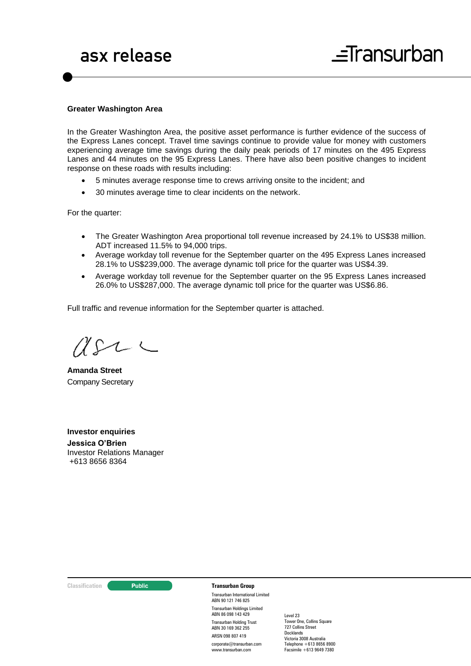### **Greater Washington Area**

In the Greater Washington Area, the positive asset performance is further evidence of the success of the Express Lanes concept. Travel time savings continue to provide value for money with customers experiencing average time savings during the daily peak periods of 17 minutes on the 495 Express Lanes and 44 minutes on the 95 Express Lanes. There have also been positive changes to incident response on these roads with results including:

- 5 minutes average response time to crews arriving onsite to the incident; and
- 30 minutes average time to clear incidents on the network.

For the quarter:

- The Greater Washington Area proportional toll revenue increased by 24.1% to US\$38 million. ADT increased 11.5% to 94,000 trips.
- Average workday toll revenue for the September quarter on the 495 Express Lanes increased 28.1% to US\$239,000. The average dynamic toll price for the quarter was US\$4.39.
- Average workday toll revenue for the September quarter on the 95 Express Lanes increased 26.0% to US\$287,000. The average dynamic toll price for the quarter was US\$6.86.

Full traffic and revenue information for the September quarter is attached.

 $U\Omega\subset$ 

**Amanda Street** Company Secretary

**Investor enquiries Jessica O'Brien**  Investor Relations Manager +613 8656 8364

### **Classification Constitution Transurban Group**

Transurban International Limited ABN 90 121 746 825 Transurban Holdings Limited ABN 86 098 143 429 Transurban Holding Trust ABN 30 169 362 255 ARSN 098 807 419 corporate@transurban.com www.transurban.com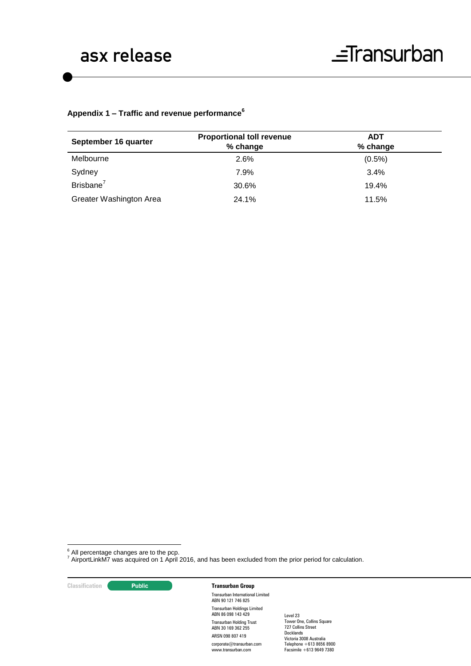# **Appendix 1 – Traffic and revenue performance<sup>6</sup>**

| September 16 quarter    | <b>Proportional toll revenue</b><br>% change | <b>ADT</b><br>% change |  |
|-------------------------|----------------------------------------------|------------------------|--|
| Melbourne               | 2.6%                                         | $(0.5\%)$              |  |
| Sydney                  | 7.9%                                         | $3.4\%$                |  |
| Brisbane <sup>7</sup>   | 30.6%                                        | 19.4%                  |  |
| Greater Washington Area | 24.1%                                        | 11.5%                  |  |

 $6$  All percentage changes are to the pcp.

 $^7$  AirportLinkM7 was acquired on 1 April 2016, and has been excluded from the prior period for calculation.

**Classification Constitution Transurban Group** 

1

Transurban International Limited ABN 90 121 746 825 Transurban Holdings Limited ABN 86 098 143 429 Transurban Holding Trust ABN 30 169 362 255 ARSN 098 807 419 corporate@transurban.com www.transurban.com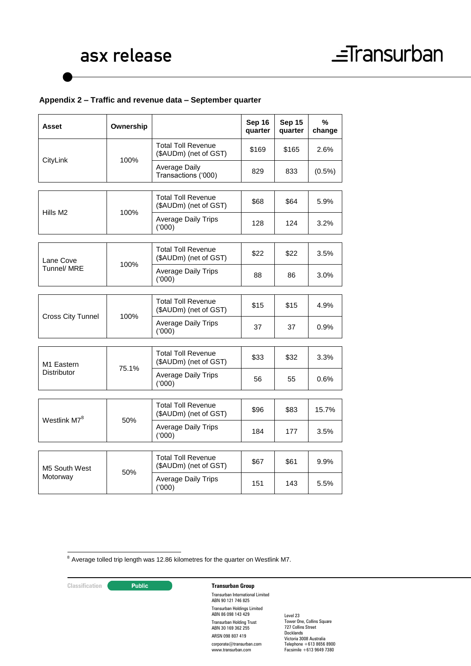## **Appendix 2 – Traffic and revenue data – September quarter**

| <b>Asset</b>                                 | Ownership |                                                    | Sep 16<br>quarter | Sep 15<br>quarter | $\%$<br>change |
|----------------------------------------------|-----------|----------------------------------------------------|-------------------|-------------------|----------------|
| CityLink                                     | 100%      | <b>Total Toll Revenue</b><br>(\$AUDm) (net of GST) | \$169             | \$165             | 2.6%           |
|                                              |           | Average Daily<br>Transactions ('000)               | 829               | 833               | $(0.5\%)$      |
|                                              |           |                                                    |                   |                   |                |
| Hills M2                                     | 100%      | <b>Total Toll Revenue</b><br>(\$AUDm) (net of GST) | \$68              | \$64              | 5.9%           |
|                                              |           | <b>Average Daily Trips</b><br>(000)                | 128               | 124               | 3.2%           |
|                                              |           |                                                    |                   |                   |                |
| Lane Cove<br>Tunnel/ MRE                     | 100%      | <b>Total Toll Revenue</b><br>(\$AUDm) (net of GST) | \$22              | \$22              | 3.5%           |
|                                              |           | <b>Average Daily Trips</b><br>(000)                | 88                | 86                | 3.0%           |
|                                              |           |                                                    |                   |                   |                |
| <b>Cross City Tunnel</b>                     | 100%      | <b>Total Toll Revenue</b><br>(\$AUDm) (net of GST) | \$15              | \$15              | 4.9%           |
|                                              |           | <b>Average Daily Trips</b><br>(000)                | 37                | 37                | 0.9%           |
|                                              |           |                                                    |                   |                   |                |
| M <sub>1</sub> Eastern<br><b>Distributor</b> | 75.1%     | <b>Total Toll Revenue</b><br>(\$AUDm) (net of GST) | \$33              | \$32              | 3.3%           |
|                                              |           | <b>Average Daily Trips</b><br>(000)                | 56                | 55                | 0.6%           |
|                                              |           |                                                    |                   |                   |                |
| Westlink M7 <sup>8</sup>                     | 50%       | <b>Total Toll Revenue</b><br>(\$AUDm) (net of GST) | \$96              | \$83              | 15.7%          |
|                                              |           | <b>Average Daily Trips</b><br>(000)                | 184               | 177               | 3.5%           |
|                                              |           |                                                    |                   |                   |                |
| M5 South West<br>Motorway                    | 50%       | <b>Total Toll Revenue</b><br>(\$AUDm) (net of GST) | \$67              | \$61              | 9.9%           |
|                                              |           | <b>Average Daily Trips</b><br>(000)                | 151               | 143               | 5.5%           |
|                                              |           |                                                    |                   |                   |                |

 $8$  Average tolled trip length was 12.86 kilometres for the quarter on Westlink M7.

<u>.</u>

## **Classification Public Transurban Group**

Transurban International Limited ABN 90 121 746 825 Transurban Holdings Limited ABN 86 098 143 429 Transurban Holding Trust ABN 30 169 362 255 ARSN 098 807 419 corporate@transurban.com www.transurban.com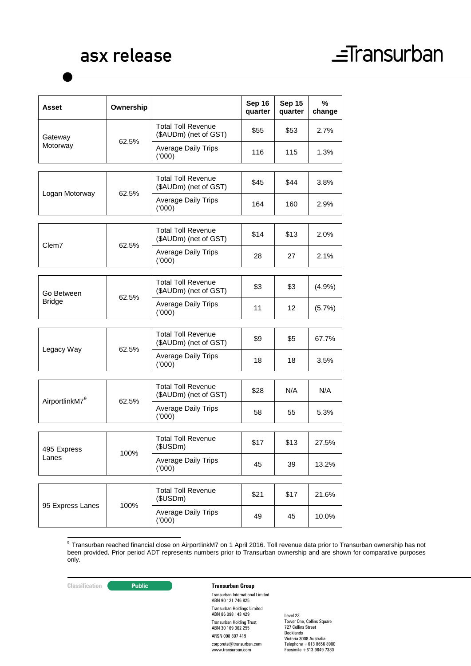# asx release

# $\equiv$ Transurban

| <b>Asset</b>                | Ownership |                                                    | Sep 16<br>quarter | Sep 15<br>quarter | %<br>change |
|-----------------------------|-----------|----------------------------------------------------|-------------------|-------------------|-------------|
| Gateway<br>Motorway         | 62.5%     | <b>Total Toll Revenue</b><br>(\$AUDm) (net of GST) | \$55              | \$53              | 2.7%        |
|                             |           | <b>Average Daily Trips</b><br>(000)                | 116               | 115               | 1.3%        |
|                             |           |                                                    |                   |                   |             |
| Logan Motorway              | 62.5%     | <b>Total Toll Revenue</b><br>(\$AUDm) (net of GST) | \$45              | \$44              | 3.8%        |
|                             |           | <b>Average Daily Trips</b><br>(000)                | 164               | 160               | 2.9%        |
|                             |           |                                                    |                   |                   |             |
| Clem7                       | 62.5%     | <b>Total Toll Revenue</b><br>(\$AUDm) (net of GST) | \$14              | \$13              | 2.0%        |
|                             |           | <b>Average Daily Trips</b><br>(000)                | 28                | 27                | 2.1%        |
|                             |           |                                                    |                   |                   |             |
| Go Between<br><b>Bridge</b> | 62.5%     | Total Toll Revenue<br>(\$AUDm) (net of GST)        | \$3               | \$3               | (4.9%)      |
|                             |           | <b>Average Daily Trips</b><br>(000)                | 11                | 12                | (5.7%)      |
|                             |           |                                                    |                   |                   |             |
| Legacy Way                  | 62.5%     | <b>Total Toll Revenue</b><br>(\$AUDm) (net of GST) | \$9               | \$5               | 67.7%       |
|                             |           | <b>Average Daily Trips</b><br>(000)                | 18                | 18                | 3.5%        |
|                             |           |                                                    |                   |                   |             |
| AirportlinkM7 <sup>9</sup>  | 62.5%     | <b>Total Toll Revenue</b><br>(\$AUDm) (net of GST) | \$28              | N/A               | N/A         |
|                             |           | <b>Average Daily Trips</b><br>(000)                | 58                | 55                | 5.3%        |
|                             |           |                                                    |                   |                   |             |
| 495 Express<br>Lanes        | 100%      | <b>Total Toll Revenue</b><br>(\$USDm)              | \$17              | \$13              | 27.5%       |
|                             |           | <b>Average Daily Trips</b><br>(000)                | 45                | 39                | 13.2%       |
|                             |           |                                                    |                   |                   |             |
| 95 Express Lanes            | 100%      | <b>Total Toll Revenue</b><br>(\$USDm)              | \$21              | \$17              | 21.6%       |
|                             |           | Average Daily Trips<br>(000)                       | 49                | 45                | 10.0%       |

 9 Transurban reached financial close on AirportlinkM7 on 1 April 2016. Toll revenue data prior to Transurban ownership has not been provided. Prior period ADT represents numbers prior to Transurban ownership and are shown for comparative purposes only.

# **Classification Transurban Group**

Transurban International Limited ABN 90 121 746 825 Transurban Holdings Limited ABN 86 098 143 429 Transurban Holding Trust ABN 30 169 362 255 ARSN 098 807 419 corporate@transurban.com www.transurban.com